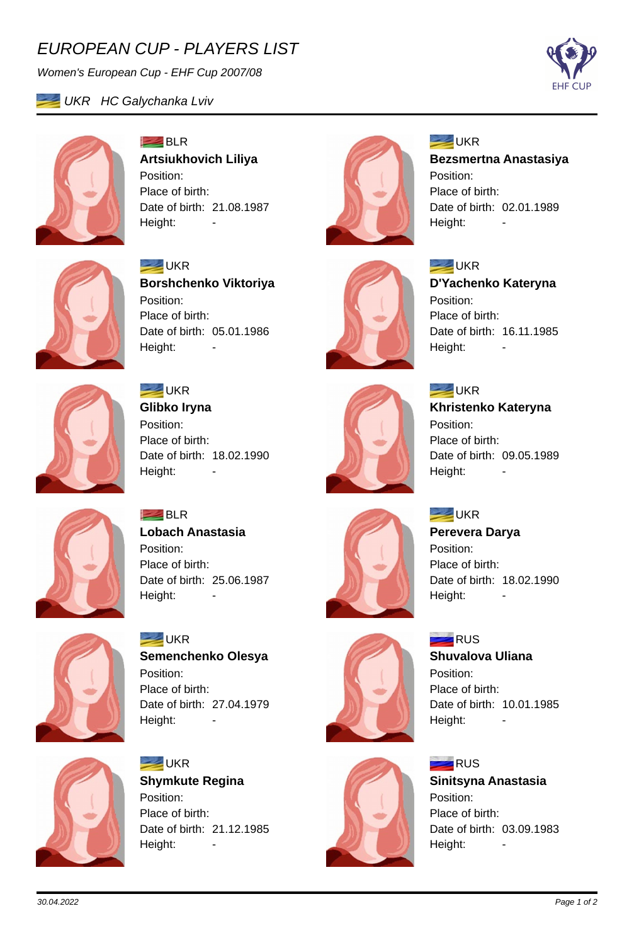## *EUROPEAN CUP - PLAYERS LIST*

*Women's European Cup - EHF Cup 2007/08*







**BLR Artsiukhovich Liliya** Position: Place of birth: Date of birth: 21.08.1987 Height: -



#### **EXAMPLE** UKR

**Bezsmertna Anastasiya** Position: Place of birth: Date of birth: 02.01.1989 Height:



**EXAMPLE** UKR **Borshchenko Viktoriya** Position: Place of birth: Date of birth: 05.01.1986 Height:



**SEAR** UKR **Glibko Iryna** Position: Place of birth: Date of birth: 18.02.1990 Height:



**EXAMPLE** UKR **D'Yachenko Kateryna** Position: Place of birth: Date of birth: 16.11.1985 Height:



**SEAR** UKR **Khristenko Kateryna** Position:

Place of birth: Date of birth: 09.05.1989 Height:

### **EXAMPLE**

**Perevera Darya** Position: Place of birth: Date of birth: 18.02.1990 Height: -



**RUS Sinitsyna Anastasia** Position: Place of birth: Date of birth: 03.09.1983 Height:



**BLR Lobach Anastasia** Position: Place of birth: Date of birth: 25.06.1987 Height: -



**SEAR** UKR **Semenchenko Olesya** Position: Place of birth: Date of birth: 27.04.1979 Height: -



**EXAMPLE** UKR **Shymkute Regina** Position: Place of birth: Date of birth: 21.12.1985 Height: